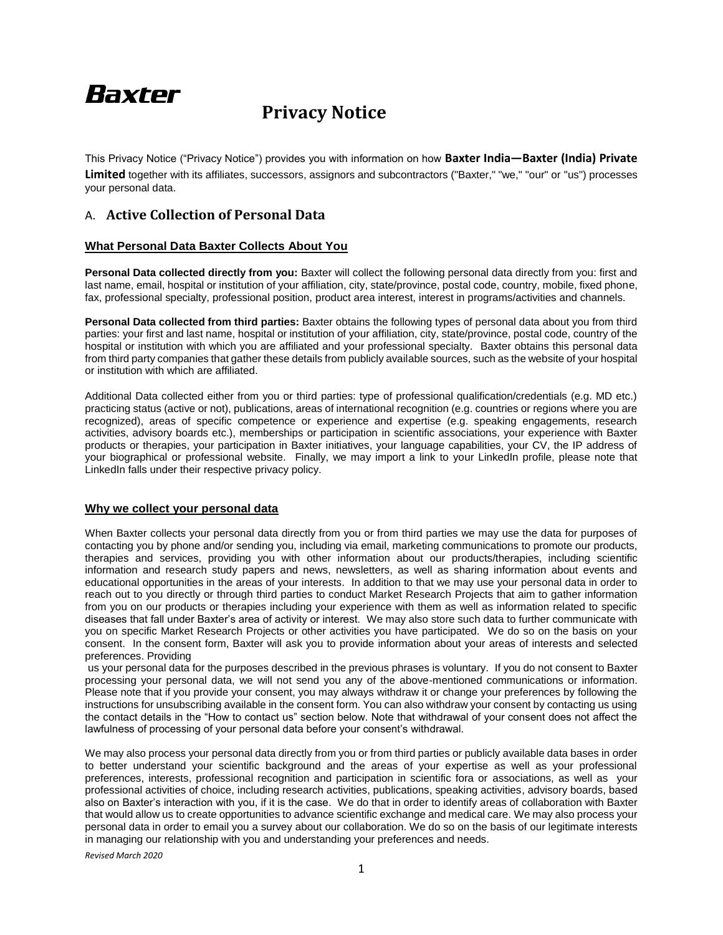# Baxter

# **Privacy Notice**

This Privacy Notice ("Privacy Notice") provides you with information on how **Baxter India—Baxter (India) Private Limited** together with its affiliates, successors, assignors and subcontractors ("Baxter," "we," "our" or "us") processes your personal data.

# A. **Active Collection of Personal Data**

# **What Personal Data Baxter Collects About You**

**Personal Data collected directly from you:** Baxter will collect the following personal data directly from you: first and last name, email, hospital or institution of your affiliation, city, state/province, postal code, country, mobile, fixed phone, fax, professional specialty, professional position, product area interest, interest in programs/activities and channels.

**Personal Data collected from third parties:** Baxter obtains the following types of personal data about you from third parties: your first and last name, hospital or institution of your affiliation, city, state/province, postal code, country of the hospital or institution with which you are affiliated and your professional specialty. Baxter obtains this personal data from third party companies that gather these details from publicly available sources, such as the website of your hospital or institution with which are affiliated.

Additional Data collected either from you or third parties: type of professional qualification/credentials (e.g. MD etc.) practicing status (active or not), publications, areas of international recognition (e.g. countries or regions where you are recognized), areas of specific competence or experience and expertise (e.g. speaking engagements, research activities, advisory boards etc.), memberships or participation in scientific associations, your experience with Baxter products or therapies, your participation in Baxter initiatives, your language capabilities, your CV, the IP address of your biographical or professional website. Finally, we may import a link to your LinkedIn profile, please note that LinkedIn falls under their respective privacy policy.

# **Why we collect your personal data**

When Baxter collects your personal data directly from you or from third parties we may use the data for purposes of contacting you by phone and/or sending you, including via email, marketing communications to promote our products, therapies and services, providing you with other information about our products/therapies, including scientific information and research study papers and news, newsletters, as well as sharing information about events and educational opportunities in the areas of your interests. In addition to that we may use your personal data in order to reach out to you directly or through third parties to conduct Market Research Projects that aim to gather information from you on our products or therapies including your experience with them as well as information related to specific diseases that fall under Baxter's area of activity or interest. We may also store such data to further communicate with you on specific Market Research Projects or other activities you have participated. We do so on the basis on your consent. In the consent form, Baxter will ask you to provide information about your areas of interests and selected preferences. Providing

us your personal data for the purposes described in the previous phrases is voluntary. If you do not consent to Baxter processing your personal data, we will not send you any of the above-mentioned communications or information. Please note that if you provide your consent, you may always withdraw it or change your preferences by following the instructions for unsubscribing available in the consent form. You can also withdraw your consent by contacting us using the contact details in the "How to contact us" section below. Note that withdrawal of your consent does not affect the lawfulness of processing of your personal data before your consent's withdrawal.

We may also process your personal data directly from you or from third parties or publicly available data bases in order to better understand your scientific background and the areas of your expertise as well as your professional preferences, interests, professional recognition and participation in scientific fora or associations, as well as your professional activities of choice, including research activities, publications, speaking activities, advisory boards, based also on Baxter's interaction with you, if it is the case. We do that in order to identify areas of collaboration with Baxter that would allow us to create opportunities to advance scientific exchange and medical care. We may also process your personal data in order to email you a survey about our collaboration. We do so on the basis of our legitimate interests in managing our relationship with you and understanding your preferences and needs.

*Revised March 2020*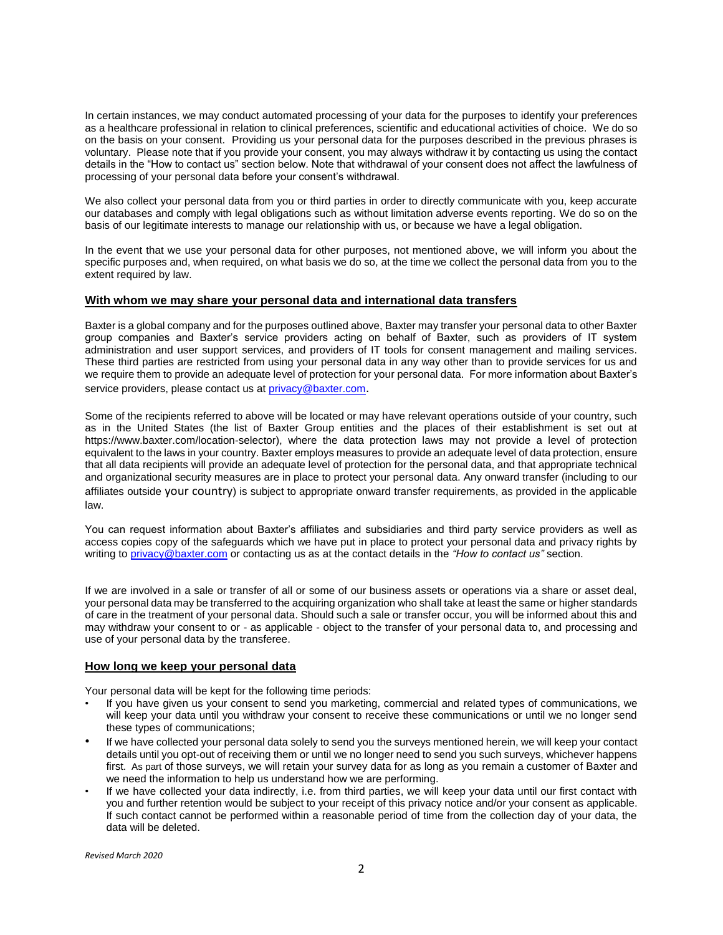In certain instances, we may conduct automated processing of your data for the purposes to identify your preferences as a healthcare professional in relation to clinical preferences, scientific and educational activities of choice. We do so on the basis on your consent. Providing us your personal data for the purposes described in the previous phrases is voluntary. Please note that if you provide your consent, you may always withdraw it by contacting us using the contact details in the "How to contact us" section below. Note that withdrawal of your consent does not affect the lawfulness of processing of your personal data before your consent's withdrawal.

We also collect your personal data from you or third parties in order to directly communicate with you, keep accurate our databases and comply with legal obligations such as without limitation adverse events reporting. We do so on the basis of our legitimate interests to manage our relationship with us, or because we have a legal obligation.

In the event that we use your personal data for other purposes, not mentioned above, we will inform you about the specific purposes and, when required, on what basis we do so, at the time we collect the personal data from you to the extent required by law.

#### **With whom we may share your personal data and international data transfers**

Baxter is a global company and for the purposes outlined above, Baxter may transfer your personal data to other Baxter group companies and Baxter's service providers acting on behalf of Baxter, such as providers of IT system administration and user support services, and providers of IT tools for consent management and mailing services. These third parties are restricted from using your personal data in any way other than to provide services for us and we require them to provide an adequate level of protection for your personal data. For more information about Baxter's service providers, please contact us at privacy@baxter.com.

Some of the recipients referred to above will be located or may have relevant operations outside of your country, such as in the United States (the list of Baxter Group entities and the places of their establishment is set out at https://www.baxter.com/location-selector), where the data protection laws may not provide a level of protection equivalent to the laws in your country. Baxter employs measures to provide an adequate level of data protection, ensure that all data recipients will provide an adequate level of protection for the personal data, and that appropriate technical and organizational security measures are in place to protect your personal data. Any onward transfer (including to our affiliates outside your country) is subject to appropriate onward transfer requirements, as provided in the applicable law.

You can request information about Baxter's affiliates and subsidiaries and third party service providers as well as access copies copy of the safeguards which we have put in place to protect your personal data and privacy rights by writing t[o privacy@baxter.com](mailto:privacy@baxter.com) or contacting us as at the contact details in the *"How to contact us"* section.

If we are involved in a sale or transfer of all or some of our business assets or operations via a share or asset deal, your personal data may be transferred to the acquiring organization who shall take at least the same or higher standards of care in the treatment of your personal data. Should such a sale or transfer occur, you will be informed about this and may withdraw your consent to or - as applicable - object to the transfer of your personal data to, and processing and use of your personal data by the transferee.

### **How long we keep your personal data**

Your personal data will be kept for the following time periods:

- If you have given us your consent to send you marketing, commercial and related types of communications, we will keep your data until you withdraw your consent to receive these communications or until we no longer send these types of communications;
- If we have collected your personal data solely to send you the surveys mentioned herein, we will keep your contact details until you opt-out of receiving them or until we no longer need to send you such surveys, whichever happens first. As part of those surveys, we will retain your survey data for as long as you remain a customer of Baxter and we need the information to help us understand how we are performing.
- If we have collected your data indirectly, i.e. from third parties, we will keep your data until our first contact with you and further retention would be subject to your receipt of this privacy notice and/or your consent as applicable. If such contact cannot be performed within a reasonable period of time from the collection day of your data, the data will be deleted.

*Revised March 2020*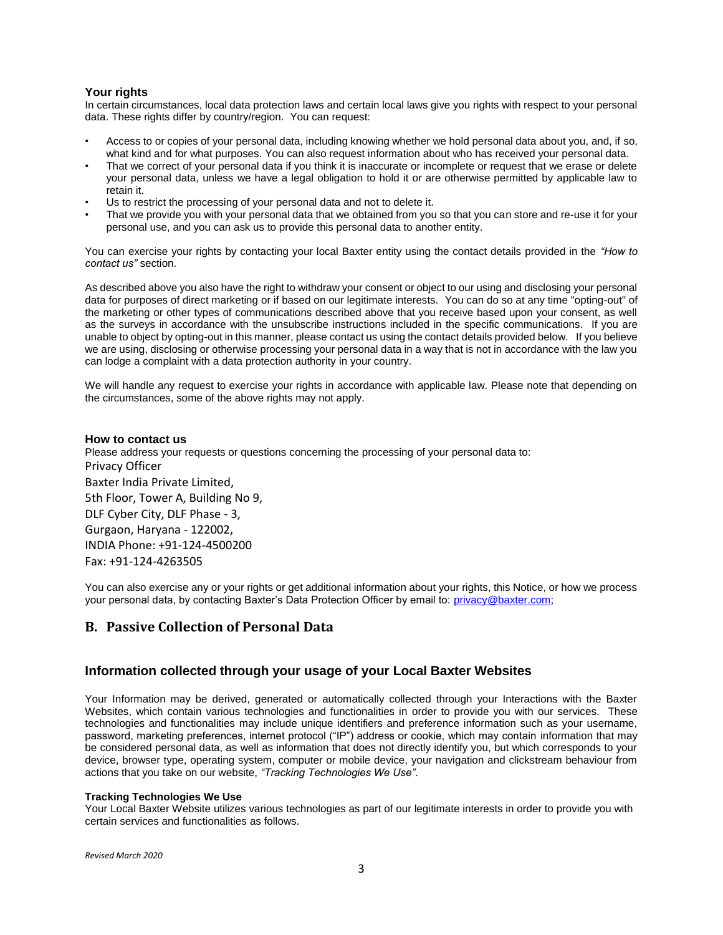# **Your rights**

In certain circumstances, local data protection laws and certain local laws give you rights with respect to your personal data. These rights differ by country/region. You can request:

- Access to or copies of your personal data, including knowing whether we hold personal data about you, and, if so, what kind and for what purposes. You can also request information about who has received your personal data.
- That we correct of your personal data if you think it is inaccurate or incomplete or request that we erase or delete your personal data, unless we have a legal obligation to hold it or are otherwise permitted by applicable law to retain it.
- Us to restrict the processing of your personal data and not to delete it.
- That we provide you with your personal data that we obtained from you so that you can store and re-use it for your personal use, and you can ask us to provide this personal data to another entity.

You can exercise your rights by contacting your local Baxter entity using the contact details provided in the *"How to contact us"* section.

As described above you also have the right to withdraw your consent or object to our using and disclosing your personal data for purposes of direct marketing or if based on our legitimate interests. You can do so at any time "opting-out" of the marketing or other types of communications described above that you receive based upon your consent, as well as the surveys in accordance with the unsubscribe instructions included in the specific communications. If you are unable to object by opting-out in this manner, please contact us using the contact details provided below. If you believe we are using, disclosing or otherwise processing your personal data in a way that is not in accordance with the law you can lodge a complaint with a data protection authority in your country.

We will handle any request to exercise your rights in accordance with applicable law. Please note that depending on the circumstances, some of the above rights may not apply.

### **How to contact us**

Please address your requests or questions concerning the processing of your personal data to: Privacy Officer Baxter India Private Limited, 5th Floor, Tower A, Building No 9, DLF Cyber City, DLF Phase - 3, Gurgaon, Haryana - 122002, INDIA Phone: +91-124-4500200 Fax: +91-124-4263505

You can also exercise any or your rights or get additional information about your rights, this Notice, or how we process your personal data, by contacting Baxter's Data Protection Officer by email to: privacy@baxter.com;

# **B. Passive Collection of Personal Data**

# **Information collected through your usage of your Local Baxter Websites**

Your Information may be derived, generated or automatically collected through your Interactions with the Baxter Websites, which contain various technologies and functionalities in order to provide you with our services. These technologies and functionalities may include unique identifiers and preference information such as your username, password, marketing preferences, internet protocol ("IP") address or cookie, which may contain information that may be considered personal data, as well as information that does not directly identify you, but which corresponds to your device, browser type, operating system, computer or mobile device, your navigation and clickstream behaviour from actions that you take on our website, *"Tracking Technologies We Use"*.

### **Tracking Technologies We Use**

Your Local Baxter Website utilizes various technologies as part of our legitimate interests in order to provide you with certain services and functionalities as follows.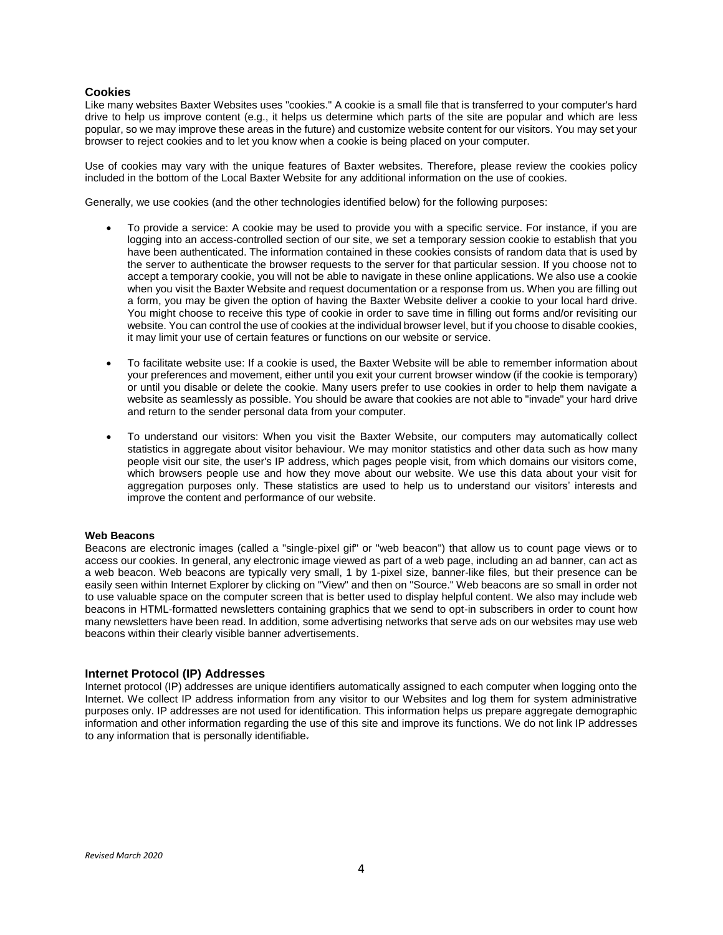## **Cookies**

Like many websites Baxter Websites uses "cookies." A cookie is a small file that is transferred to your computer's hard drive to help us improve content (e.g., it helps us determine which parts of the site are popular and which are less popular, so we may improve these areas in the future) and customize website content for our visitors. You may set your browser to reject cookies and to let you know when a cookie is being placed on your computer.

Use of cookies may vary with the unique features of Baxter websites. Therefore, please review the cookies policy included in the bottom of the Local Baxter Website for any additional information on the use of cookies.

Generally, we use cookies (and the other technologies identified below) for the following purposes:

- To provide a service: A cookie may be used to provide you with a specific service. For instance, if you are logging into an access-controlled section of our site, we set a temporary session cookie to establish that you have been authenticated. The information contained in these cookies consists of random data that is used by the server to authenticate the browser requests to the server for that particular session. If you choose not to accept a temporary cookie, you will not be able to navigate in these online applications. We also use a cookie when you visit the Baxter Website and request documentation or a response from us. When you are filling out a form, you may be given the option of having the Baxter Website deliver a cookie to your local hard drive. You might choose to receive this type of cookie in order to save time in filling out forms and/or revisiting our website. You can control the use of cookies at the individual browser level, but if you choose to disable cookies, it may limit your use of certain features or functions on our website or service.
- To facilitate website use: If a cookie is used, the Baxter Website will be able to remember information about your preferences and movement, either until you exit your current browser window (if the cookie is temporary) or until you disable or delete the cookie. Many users prefer to use cookies in order to help them navigate a website as seamlessly as possible. You should be aware that cookies are not able to "invade" your hard drive and return to the sender personal data from your computer.
- To understand our visitors: When you visit the Baxter Website, our computers may automatically collect statistics in aggregate about visitor behaviour. We may monitor statistics and other data such as how many people visit our site, the user's IP address, which pages people visit, from which domains our visitors come, which browsers people use and how they move about our website. We use this data about your visit for aggregation purposes only. These statistics are used to help us to understand our visitors' interests and improve the content and performance of our website.

#### **Web Beacons**

Beacons are electronic images (called a "single-pixel gif" or "web beacon") that allow us to count page views or to access our cookies. In general, any electronic image viewed as part of a web page, including an ad banner, can act as a web beacon. Web beacons are typically very small, 1 by 1-pixel size, banner-like files, but their presence can be easily seen within Internet Explorer by clicking on "View" and then on "Source." Web beacons are so small in order not to use valuable space on the computer screen that is better used to display helpful content. We also may include web beacons in HTML-formatted newsletters containing graphics that we send to opt-in subscribers in order to count how many newsletters have been read. In addition, some advertising networks that serve ads on our websites may use web beacons within their clearly visible banner advertisements.

### **Internet Protocol (IP) Addresses**

Internet protocol (IP) addresses are unique identifiers automatically assigned to each computer when logging onto the Internet. We collect IP address information from any visitor to our Websites and log them for system administrative purposes only. IP addresses are not used for identification. This information helps us prepare aggregate demographic information and other information regarding the use of this site and improve its functions. We do not link IP addresses to any information that is personally identifiable.